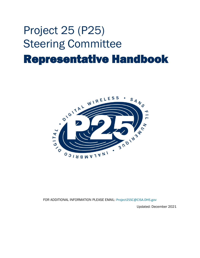# Project 25 (P25) Steering Committee Representative Handbook



FOR ADDITIONAL INFORMATION PLEASE EMAIL: [Project25SC@CISA.DHS.gov](mailto:Project25SC@CISA.DHS.gov)

Updated: December 2021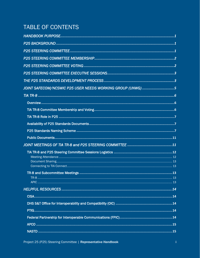# TABLE OF CONTENTS

| JOINT SAFECOM/NCSWIC P25 USER NEEDS WORKING GROUP (UNWG)5 |
|-----------------------------------------------------------|
|                                                           |
|                                                           |
|                                                           |
|                                                           |
|                                                           |
|                                                           |
|                                                           |
|                                                           |
|                                                           |
|                                                           |
|                                                           |
|                                                           |
|                                                           |
|                                                           |
|                                                           |
|                                                           |
|                                                           |
|                                                           |
|                                                           |
|                                                           |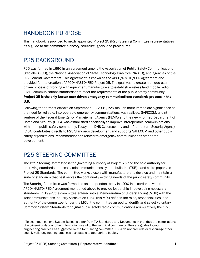### <span id="page-3-0"></span>HANDBOOK PURPOSE

This handbook is provided to newly appointed Project 25 (P25) Steering Committee representatives as a guide to the committee's history, structure, goals, and procedures.

### <span id="page-3-1"></span>P25 BACKGROUND

P25 was formed in 1990 in an agreement among the Association of Public-Safety Communications Officials (APCO), the National Association of State Technology Directors (NASTD), and agencies of the U.S. Federal Government. This agreement is known as the APCO/NASTD/FED Agreement and provided for the creation of APCO/NASTD/FED Project 25. The goal was to create a unique userdriven process of working with equipment manufacturers to establish wireless land mobile radio (LMR) communications standards that meet the requirements of the public safety community.

#### Project 25 is the only known user-driven emergency communications standards process in the U.S.

Following the terrorist attacks on September 11, 2001, P25 took on more immediate significance as the need for reliable, interoperable emergency communications was realized. SAFECOM, a joint venture of the Federal Emergency Management Agency (FEMA) and the newly formed Department of Homeland Security (DHS), was established specifically to improve interoperable communications within the public safety community. Today, the DHS Cybersecurity and Infrastructure Security Agency (CISA) contributes directly to P25 Standards development and supports SAFECOM and other public safety organizations' recommendations related to emergency communications standards development.

# <span id="page-3-2"></span>P25 STEERING COMMITTEE

The P25 Steering Committee is the governing authority of Project 25 and the sole authority for approving standards proposals, telecommunications system bulletins (TSB), <sup>1</sup> and white papers as Project 25 Standards. The committee works closely with manufacturers to develop and maintain a suite of standards that best serves the continually evolving needs of the public safety community.

The Steering Committee was formed as an independent body in 1990 in accordance with the APCO/NASTD/FED Agreement mentioned above to provide leadership in developing necessary standards. In 1992, the committee entered into a Memorandum of Understanding (MOU) with the Telecommunications Industry Association (TIA). This MOU defines the roles, responsibilities, and authority of the committee. Under the MOU, the committee agreed to identify and select voluntary Common System Standards for digital public safety radio communications (cumulatively the "P25

<sup>1</sup> Telecommunications System Bulletins differ from TIA Standards and Documents in that they are compilations of engineering data or other information useful to the technical community. They are guides to good engineering practices as suggested by the formulating committee. TSBs do not preclude or discourage other equally valid engineering practices acceptable to appropriate bodies.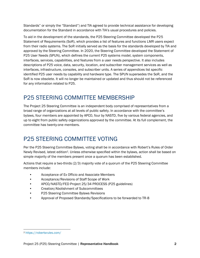Standards" or simply the "Standard") and TIA agreed to provide technical assistance for developing documentation for the Standard in accordance with TIA's usual procedures and policies.

To aid in the development of the standards, the P25 Steering Committee developed the P25 Statement of Requirements (SoR), which provides a list of features and functions LMR users expect from their radio systems. The SoR initially served as the basis for the standards developed by TIA and approved by the Steering Committee. In 2020, the Steering Committee developed the Statement of P25 User Needs (SPUN), which defines the current P25 systems model, system components, interfaces, services, capabilities, and features from a user needs perspective. It also includes descriptions of P25 voice, data, security, location, and subscriber management services as well as interfaces, infrastructure, consoles, and subscriber units. A series of appendices list specific identified P25 user needs by capability and hardware type. The SPUN supersedes the SoR, and the SoR is now obsolete. It will no longer be maintained or updated and thus should not be referenced for any information related to P25.

### <span id="page-4-0"></span>P25 STEERING COMMITTEE MEMBERSHIP

The Project 25 Steering Committee is an independent body comprised of representatives from a broad range of organizations at all levels of public safety. In accordance with the committee's bylaws, four members are appointed by APCO, four by NASTD, five by various federal agencies, and up to eight from public safety organizations approved by the committee. At its full complement, the committee has twenty-one members.

# <span id="page-4-1"></span>P25 STEERING COMMITTEE VOTING

Per the P25 Steering Committee Bylaws, voting shall be in accordance with Robert's Rules of Order Newly Revised, latest edition2. Unless otherwise specified within the bylaws, action shall be based on simple majority of the members present once a quorum has been established.

Actions that require a two-thirds (2/3) majority vote of a quorum of the P25 Steering Committee members include:

- Acceptance of Ex Officio and Associate Members
- Acceptance/Revisions of Staff Scope of Work
- APCO/NASTD/FED Project 25/34 PROCESS (P25 guidelines)
- Creation/Abolishment of Subcommittees
- P25 Steering Committee Bylaws Revisions
- Approval of Proposed Standards/Specifications to be forwarded to TR-8

<sup>2</sup> <https://robertsrules.com/>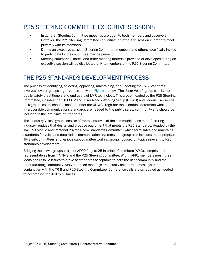# <span id="page-5-0"></span>P25 STEERING COMMITTEE EXECUTIVE SESSIONS

- In general, Steering Committee meetings are open to both members and observers. However, the P25 Steering Committee can initiate an executive session in order to meet privately with its members
- During an executive session, Steering Committee members and others specifically invited to participate by the committee may be present
- Meeting summaries, notes, and other meeting materials provided or developed during an executive session will be distributed only to members of the P25 Steering Committee

## <span id="page-5-1"></span>THE P25 STANDARDS DEVELOPMENT PROCESS

The process of identifying, selecting, approving, maintaining, and updating the P25 Standards involves several groups organized as shown in [Figure 1](#page-6-0) below. The "User Voice" group consists of public safety practitioners and end users of LMR technology. This group, headed by the P25 Steering Committee, includes the SAFECOM P25 User Needs Working Group (UNWG) and various user needs task groups established as needed under the UNWG. Together these entities determine what interoperable communications standards are needed by the public safety community and should be included in the P25 Suite of Standards.

The "Industry Voice" group consists of representatives of the communications manufacturing industry—entities that design and produce equipment that meets the P25 Standards. Headed by the TIA TR-8 Mobile and Personal Private Radio Standards Committee, which formulates and maintains standards for voice and data radio communications systems, the group also includes the appropriate TR-8 subcommittees and various subcommittee working groups focused on topics relevant to P25 standards development.

Bridging these two groups is a joint APCO Project 25 Interface Committee (APIC), comprised of representatives from TIA TR-8 and the P25 Steering Committee. Within APIC, members mesh their ideas and resolve issues to arrive at standards acceptable to both the user community and the manufacturing community. APIC in-person meetings are usually held three times a year in conjunction with the TR-8 and P25 Steering Committee. Conference calls are scheduled as needed to accomplish the APIC's business.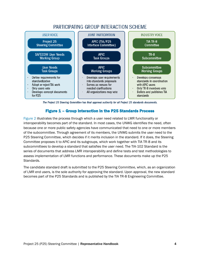### PARTICIPATING GROUP INTERACTION SCHEME



The Project 25 Steering Committee has final approval authority for all Project 25 standards documents.

#### Figure 1 – Group Interaction in the P25 Standards Process

<span id="page-6-0"></span>[Figure 2](#page-7-1) illustrates the process through which a user need related to LMR functionality or interoperability becomes part of the standard. In most cases, the UNWG identifies the need, often because one or more public safety agencies have communicated that need to one or more members of the subcommittee. Through agreement of its members, the UNWG submits the user need to the P25 Steering Committee, which decides if it merits inclusion in the standard. If it does, the Steering Committee proposes it to APIC and its subgroups, which work together with TIA TR-8 and its subcommittees to develop a standard that satisfies the user need. The TIA-102 Standard is the series of documents that address LMR interoperability and define tests and test methodologies to assess implementation of LMR functions and performance. These documents make up the P25 Standards.

The candidate standard draft is submitted to the P25 Steering Committee, which, as an organization of LMR end users, is the sole authority for approving the standard. Upon approval, the new standard becomes part of the P25 Standards and is published by the TIA TR-8 Engineering Committee.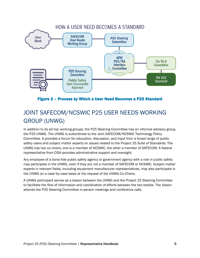

Figure 2 – Process by Which a User Need Becomes a P25 Standard

# <span id="page-7-1"></span><span id="page-7-0"></span>JOINT SAFECOM/NCSWIC P25 USER NEEDS WORKING GROUP (UNWG)

In addition to its ad hoc working groups, the P25 Steering Committee has an informal advisory group, the P25 UNWG. The UNWG is subordinate to the Joint SAFECOM/NCSWIC Technology Policy Committee. It provides a forum for education, discussion, and input from a broad range of public safety users and subject matter experts on issues related to the Project 25 Suite of Standards. The UNWG has two co‐chairs; one is a member of NCSWIC, the other a member of SAFECOM. A federal representative from CISA provides administrative support and oversight.

Any employee of a bona-fide public safety agency or government agency with a role in public safety may participate in the UNWG, even if they are not a member of SAFECOM or NCSWIC. Subject matter experts in relevant fields, including equipment manufacturer representatives, may also participate in the UNWG on a case‐by‐case basis at the request of the UNWG Co‐Chairs.

A UNWG participant serves as a liaison between the UNWG and the Project 25 Steering Committee to facilitate the flow of information and coordination of efforts between the two bodies. The liaison attends the P25 Steering Committee in-person meetings and conference calls.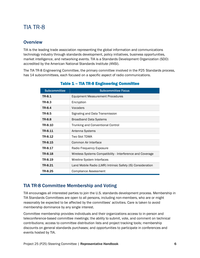### <span id="page-8-0"></span>TIA TR-8

#### <span id="page-8-1"></span>**Overview**

TIA is the leading trade association representing the global information and communications technology industry through standards development, policy initiatives, business opportunities, market intelligence, and networking events. TIA is a Standards Development Organization (SDO) accredited by the American National Standards Institute (ANSI).

The TIA TR-8 Engineering Committee, the primary committee involved in the P25 Standards process, has 14 subcommittees, each focused on a specific aspect of radio communications.

| <b>Subcommittee</b> | <b>Subcommittee Focus</b>                                   |
|---------------------|-------------------------------------------------------------|
| TR-8.1              | Equipment Measurement Procedures                            |
| TR-8.3              | Encryption                                                  |
| TR-8.4              | Vocoders                                                    |
| TR-8.5              | Signaling and Data Transmission                             |
| <b>TR-8.8</b>       | <b>Broadband Data Systems</b>                               |
| TR-8.10             | <b>Trunking and Conventional Control</b>                    |
| TR-8.11             | Antenna Systems                                             |
| TR-8.12             | Two Slot TDMA                                               |
| TR-8.15             | Common Air Interface                                        |
| TR-8.17             | Radio Frequency Exposure                                    |
| TR-8.18             | Wireless Systems Compatibility - Interference and Coverage  |
| TR-8.19             | Wireline System Interfaces                                  |
| TR-8.21             | Land Mobile Radio (LMR) Intrinsic Safety (IS) Consideration |
| TR-8.25             | <b>Compliance Assessment</b>                                |

#### Table 1 – TIA TR-8 Engineering Committee

### <span id="page-8-2"></span>TIA TR-8 Committee Membership and Voting

TIA encourages all interested parties to join the U.S. standards development process. Membership in TIA Standards Committees are open to all persons, including non-members, who are or might reasonably be expected to be affected by the committees' activities. Care is taken to avoid membership dominance by any single interest.

Committee membership provides individuals and their organizations access to in-person and teleconference-based committee meetings; the ability to submit, vote, and comment on technical contributions; access to committee distribution lists and project tracking tools; membership discounts on general standards purchases; and opportunities to participate in conferences and events hosted by TIA.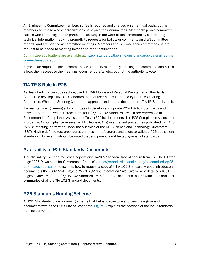An Engineering Committee membership fee is required and charged on an annual basis. Voting members are those whose organizations have paid their annual fees. Membership on a committee carries with it an obligation to participate actively in the work of the committee by contributing technical information, replying promptly to requests for ballots or comments on draft committee reports, and attendance at committee meetings. Members should email their committee chair to request to be added to meeting invites and other notifications.

Committee applications are available at: [http://standards.tiaonline.org/standards/tia-engineering](http://standards.tiaonline.org/standards/tia-engineering-committee-application)[committee-application.](http://standards.tiaonline.org/standards/tia-engineering-committee-application)

Anyone can request to join a committee as a non-TIA member by emailing the committee chair. This allows them access to the meetings, document drafts, etc., but not the authority to vote.

#### <span id="page-9-0"></span>TIA TR-8 Role in P25

As described in a previous section, the TIA TR-8 Mobile and Personal Private Radio Standards Committee develops TIA-102 Standards to meet user needs identified by the P25 Steering Committee. When the Steering Committee approves and adopts the standard, TIA TR-8 publishes it.

TIA maintains engineering subcommittees to develop and update P25/TIA-102 Standards and develops standardized test procedures for P25/TIA-102 Standards, which are referenced in Recommended Compliance Assessment Tests (RCATs) documents. The P25 Compliance Assessment Program (CAP) Compliance Assessment Bulletins (CABs) use the test procedures published by TIA for P25 CAP testing, performed under the auspices of the DHS Science and Technology Directorate (S&T). Having defined test procedures enables manufacturers and users to validate P25 equipment standards. However, it should be noted that equipment is not tested against all standards.

#### <span id="page-9-1"></span>Availability of P25 Standards Documents

A public safety user can request a copy of any TIA-102 Standard free of charge from TIA. The TIA web page "P25 Downloads for Government Entities" ([https://standards.tiaonline.org/all-standards/p25](https://standards.tiaonline.org/all-standards/p25-downloads-application) [downloads-application\)](https://standards.tiaonline.org/all-standards/p25-downloads-application) describes how to request a copy of a TIA-102 Standard. A good introductory document is the *TSB-102-D Project 25 TIA-102 Documentation Suite Overview*, a detailed (100+ pages) overview of the P25/TIA-102 Standards with feature descriptions that provide titles and short summaries of all the TIA-102 Standard documents.

### <span id="page-9-2"></span>P25 Standards Naming Scheme

All P25 Standards follow a naming scheme that helps to structure and designate groups of documents within the P25 Suite of Standards. [Figure 3](#page-10-0) explains the sections of the P25 Standards naming convention.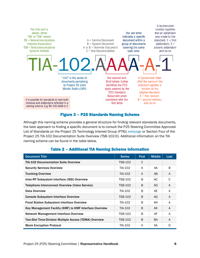

#### Figure 3 – P25 Standards Naming Scheme

<span id="page-10-0"></span>Although this naming scheme provides a general structure for finding relevant standards documents, the best approach to finding a specific document is to consult the P25 Steering Committee Approved List of Standards on the Project 25 Technology Interest Group (PTIG) [webpage](http://www.project25.org/) or Section Four of the Project 25 TIA-102 Documentation Suite Overview (TSB-102-D). Additional information on the TIA naming scheme can be found in the table below.

| <b>Document Title</b>                                         | <b>Series</b>  | <b>First</b> | <b>Middle</b> | Last |
|---------------------------------------------------------------|----------------|--------------|---------------|------|
| <b>TIA-102 Documentation Suite Overview</b>                   | TSB-102        | C            |               |      |
| <b>Security Services Overview</b>                             | TIA-102        | A            | AA            | B    |
| <b>Trunking Overview</b>                                      | TIA-102        | A            | AB            | A    |
| Inter-RF Subsystem Interface (ISSI) Overview                  | TSB-102        | B            | AC            | C    |
| Telephone Interconnect Overview (Voice Service)               | <b>TSB-102</b> | B            | AD.           | A    |
| Data Overview                                                 | TIA-102        | B            | AE            | A    |
| <b>Console Subsystem Interface Overview</b>                   | TSB-102        | B            | AG            | A    |
| <b>Fixed Station Subsystem Interface Overview</b>             | TIA-102        | B            | AH            | A    |
| Key Management Facility (KMF) to KMF Interface Overview       | TIA-102        | B            | AK            | A    |
| Network Management Interface Overview                         | TSB-102        | B            | AF            | A    |
| <b>Two-Slot Time-Division Multiple Access (TDMA) Overview</b> | TSB-102        | B            | <b>BA</b>     | A    |
| <b>Block Encryption Protocol</b>                              | TIA-102        | A            | AA            | D    |

#### Table 2 – Additional TIA Naming Scheme Information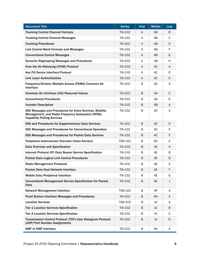| <b>Document Title</b>                                                                                                                                      | <b>Series</b>  | <b>First</b> | <b>Middle</b> | Last         |
|------------------------------------------------------------------------------------------------------------------------------------------------------------|----------------|--------------|---------------|--------------|
| <b>Trunking Control Channel Formats</b>                                                                                                                    | TIA-102        | A            | AB            | B            |
| <b>Trunking Control Channel Messages</b>                                                                                                                   | TIA-102        | A            | AB            | $\mathsf{C}$ |
| <b>Trunking Procedures</b>                                                                                                                                 | TIA-102        | A            | AB            | D            |
| <b>Link Control Word Formats and Messages</b>                                                                                                              | TIA-102        | A            | AB            | F            |
| <b>Conventional Control Messages</b>                                                                                                                       | TIA-102        | A            | AB            | G            |
| <b>Dynamic Regrouping Messages and Procedures</b>                                                                                                          | TIA-102        | A            | AB            | H            |
| Over the Air Rekeying (OTAR) Protocol                                                                                                                      | TIA-102        | A            | <b>AC</b>     | A            |
| <b>Key Fill Device Interface Protocol</b>                                                                                                                  | TIA-102        | A            | AC            | D            |
| <b>Link Layer Authentication</b>                                                                                                                           | TIA-102        | A            | AC            | E            |
| Frequency-Division Multiple Access (FDMA) Common Air<br>Interface                                                                                          | TIA-102        | B            | AA            | A            |
| <b>Common Air Interface (CAI) Reserved Values</b>                                                                                                          | TIA-102        | B            | AA            | $\mathsf C$  |
| <b>Conventional Procedures</b>                                                                                                                             | TIA-102        | B            | AA            | D            |
| <b>Vocoder Description</b>                                                                                                                                 | TIA-102        | B            | AB            | $\mathsf{A}$ |
| <b>ISSI Messages and Procedures for Voice Services, Mobility</b><br>Management, and Radio Frequency Subsystem (RFSS)<br><b>Capability Polling Services</b> | TIA-102        | B            | AC            | A            |
| <b>ISSI and Procedures for Supplementary Data Services</b>                                                                                                 | TIA-102        | B            | AC            | D            |
| <b>ISSI Messages and Procedures for Conventional Operation</b>                                                                                             | TIA-102        | B            | AC            | E            |
| <b>ISSI Messages and Procedures for Packet Data Services</b>                                                                                               | TIA-102        | B            | AC            | F            |
| <b>Telephone Interconnect Overview (Voice Service)</b>                                                                                                     | <b>TSB-102</b> | В            | AD            | A            |
| Data Overview and Specification                                                                                                                            | TIA-102        | B            | <b>AE</b>     | A            |
| Internet Protocol (IP) Data Bearer Service Specification                                                                                                   | TIA-102        | B            | AE            | B            |
| <b>Packet Data Logical Link Control Procedures</b>                                                                                                         | TIA-102        | B            | AE            | D            |
| <b>Radio Management Protocols</b>                                                                                                                          | TIA-102        | В            | AE            | E            |
| Packet Data Host Network Interface                                                                                                                         | TIA-102        | B            | AE            | F            |
| <b>Mobile Data Peripheral Interface</b>                                                                                                                    | TIA-102        | B            | AE            | G            |
| <b>Conventional Management Service Specification for Packet</b><br>Data                                                                                    | TIA-102        | В            | AE            | J            |
| <b>Network Management Interface</b>                                                                                                                        | <b>TSB-102</b> | B            | AF            | A            |
| <b>Fixed Station Interface Messages and Procedures</b>                                                                                                     | TIA-102        | B            | AH            | A            |
| <b>Location Services</b>                                                                                                                                   | <b>TSB-102</b> | В            | AJ            | A            |
| <b>Tier 1 Location Services Specification</b>                                                                                                              | TIA-102        | B            | AJ            | B            |
| <b>Tier 2 Location Services Specification</b>                                                                                                              | TIA-102        | B            | AJ            | C            |
| Transmission Control Protocol (TCP)/User Datagram Protocol<br>(UDP) Port Number Assignments                                                                | TIA-102        | В            | AJ            | D            |
| <b>KMF to KMF Interface</b>                                                                                                                                | TIA-102        | B            | AK            | A            |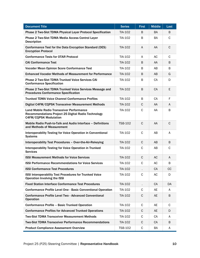| <b>Document Title</b>                                                                                                                   | <b>Series</b>  | <b>First</b> | <b>Middle</b> | Last         |
|-----------------------------------------------------------------------------------------------------------------------------------------|----------------|--------------|---------------|--------------|
| <b>Phase 2 Two-Slot TDMA Physical Layer Protocol Specification</b>                                                                      | TIA-102        | B            | <b>BA</b>     | B            |
| Phase 2 Two-Slot TDMA Media Access Control Layer<br><b>Description</b>                                                                  | TIA-102        | B            | BA            | C            |
| Conformance Test for the Data Encryption Standard (DES)<br><b>Encryption Protocol</b>                                                   | TIA-102        | A            | AA            | $\mathsf{C}$ |
| <b>Conformance Tests for OTAR Protocol</b>                                                                                              | TIA-102        | A            | AC            | $\mathsf C$  |
| <b>CAI Conformance Test</b>                                                                                                             | TIA-102        | B            | AA            | В            |
| <b>Vocoder Mean Opinion Score Conformance Test</b>                                                                                      | TIA-102        | B            | AB            | B            |
| <b>Enhanced Vocoder Methods of Measurement for Performance</b>                                                                          | TIA-102        | B            | AB            | G            |
| <b>Phase 2 Two-Slot TDMA Trunked Voice Services CAI</b><br><b>Conformance Specification</b>                                             | TIA-102        | B            | CA            | D            |
| Phase 2 Two-Slot TDMA Trunked Voice Services Message and<br><b>Procedures Conformance Specification</b>                                 | TIA-102        | B            | CA            | E            |
| <b>Trunked TDMA Voice Channel Conformance Profiles</b>                                                                                  | TIA-102        | B            | CA            | F            |
| Digital C4FM/CQPSK Transceiver Measurement Methods                                                                                      | TIA-102        | C            | AA            | A            |
| <b>Land Mobile Radio Transceiver Performance</b><br>Recommendations Project 25 Digital Radio Technology<br><b>C4FM/CQPSK Modulation</b> | TIA-102        | C            | AA            | B            |
| Mobile Radio Push-to-Talk and Audio Interface - Definitions<br>and Methods of Measurement                                               | <b>TSB-102</b> | $\mathsf{C}$ | AA            | $\mathsf{C}$ |
| Interoperability Testing for Voice Operation in Conventional<br><b>Systems</b>                                                          | TIA-102        | C            | AB            | A            |
| Interoperability Test Procedures - Over-the-Air-Rekeying                                                                                | TIA-102        | $\mathsf{C}$ | AB            | B            |
| <b>Interoperability Testing for Voice Operation in Trunked</b><br><b>Services</b>                                                       | TIA-102        | C            | AB            | C            |
| <b>ISSI Measurement Methods for Voice Services</b>                                                                                      | TIA-102        | C            | AC            | A            |
| <b>ISSI Performance Recommendations for Voice Services</b>                                                                              | TIA-102        | C            | AC            | B            |
| <b>ISSI Conformance Test Procedures</b>                                                                                                 | TIA-102        |              | <b>CA</b>     | cc           |
| <b>ISSI Interoperability Test Procedures for Trunked Voice</b><br><b>Operation Involving the ISSI</b>                                   | TIA-102        | C            | AC            | D            |
| <b>Fixed Station Interface Conformance Test Procedures</b>                                                                              | TIA-102        |              | CA            | DA           |
| <b>Conformance Profile Level One - Basic Conventional Operation</b>                                                                     | TIA-102        | C            | AE            | A            |
| <b>Conformance Profile Level Two - Advanced Conventional</b><br><b>Operation</b>                                                        | TIA-102        | C            | AE            | B            |
| <b>Conformance Profile - Basic Trunked Operation</b>                                                                                    | TIA-102        | C            | AE            | C            |
| <b>Conformance Profiles for Advanced Trunked Operations</b>                                                                             | TIA-102        | C            | AE            | D            |
| <b>Two-Slot TDMA Transceiver Measurement Methods</b>                                                                                    | TIA-102        | C            | CA            | A            |
| <b>Two-Slot TDMA Transceiver Performance Recommendations</b>                                                                            | TIA-102        | C            | <b>CA</b>     | B            |
| <b>Product Compliance Assessment Overview</b>                                                                                           | <b>TSB-102</b> | C            | BA            | A            |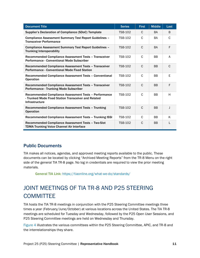| <b>Document Title</b>                                                                                                           | <b>Series</b>  | <b>First</b>  | <b>Middle</b> | Last         |
|---------------------------------------------------------------------------------------------------------------------------------|----------------|---------------|---------------|--------------|
| Supplier's Declaration of Compliance (SDoC) Template                                                                            | <b>TSB-102</b> | C             | <b>BA</b>     | B            |
| <b>Compliance Assessment Summary Test Report Guidelines -</b><br><b>Transceiver Performance</b>                                 | <b>TSB-102</b> | C             | BA            | C            |
| <b>Compliance Assessment Summary Test Report Guidelines -</b><br><b>Trunking Interoperability</b>                               | <b>TSB-102</b> | $\mathcal{C}$ | <b>BA</b>     | F            |
| Recommended Compliance Assessment Tests - Transceiver<br>Performance - Conventional Mode Subscriber                             | <b>TSB-102</b> | C             | <b>BB</b>     | A            |
| Recommended Compliance Assessment Tests - Transceiver<br><b>Performance - Conventional Mode Fixed Station</b>                   | <b>TSB-102</b> | $\mathcal{C}$ | <b>BB</b>     | $\mathsf{C}$ |
| Recommended Compliance Assessment Tests - Conventional<br><b>Operation</b>                                                      | <b>TSB-102</b> | C             | <b>BB</b>     | E            |
| Recommended Compliance Assessment Tests - Transceiver<br><b>Performance - Trunking Mode Subscriber</b>                          | <b>TSB-102</b> | $\mathcal{C}$ | <b>BB</b>     | F            |
| Recommended Compliance Assessment Tests - Performance<br>- Trunked Mode Fixed Station Transceiver and Related<br>Infrastructure | <b>TSB-102</b> | C             | <b>BB</b>     | H            |
| Recommended Compliance Assessment Tests - Trunking<br><b>Operation</b>                                                          | <b>TSB-102</b> | C             | <b>BB</b>     | J            |
| Recommended Compliance Assessment Tests - Trunking ISSI                                                                         | <b>TSB-102</b> | $\mathbf C$   | <b>BB</b>     | K            |
| Recommended Compliance Assessment Tests - Two-Slot<br><b>TDMA Trunking Voice Channel Air Interface</b>                          | <b>TSB-102</b> | C             | <b>BB</b>     |              |

### <span id="page-13-0"></span>Public Documents

TIA makes all notices, agendas, and approved meeting reports available to the public. These documents can be located by clicking "Archived Meeting Reports" from the TR-8 Menu on the right side of the general TIA TR-8 page. No log in credentials are required to view the prior meeting materials.

General TIA Link: [https://tiaonline.org/what-we-do/standards/](https://urldefense.us/v3/__https:/urldefense.com/v3/__https:/urldefense.us/v3/__https:/tiaonline.org/what-we-do/standards/__;!!BClRuOV5cvtbuNI!QlL8eQzda4DsYDf5JB5b6_FNyPd3lZsQoBumREoYo8_-FWEsoHFcTx4mltZgW1LOF-jySPs$__;!!May37g!fCZJ34kpCC5gT6XBKkf-4-OeidMaL-ON-LIYFM7LEdam7Ee2T9yp1MLAGZNuT8yd5Q$__;!!BClRuOV5cvtbuNI!S4A3e-bS_5WOOR96rsY_IrHkCKTdUXYS5fUlZi9dSiiBKcobT_x9OIsgCwzS_yUKMo79ZRKxEPYO66uN$)

# <span id="page-13-1"></span>JOINT MEETINGS OF TIA TR-8 AND P25 STEERING **COMMITTEE**

TIA hosts the TIA TR-8 meetings in conjunction with the P25 Steering Committee meetings three times a year (February/June/October) at various locations across the United States. The TIA TR-8 meetings are scheduled for Tuesday and Wednesday, followed by the P25 Open User Sessions, and P25 Steering Committee meetings are held on Wednesday and Thursday.

[Figure 4](#page-14-2) illustrates the various committees within the P25 Steering Committee, APIC, and TR-8 and the interrelationships they share.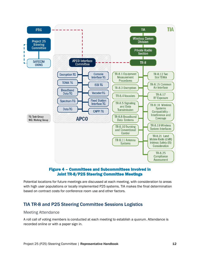

#### Figure 4 – Committees and Subcommittees Involved in Joint TR-8/P25 Steering Committee Meetings

<span id="page-14-2"></span>Potential locations for future meetings are discussed at each meeting, with consideration to areas with high user populations or locally implemented P25 systems. TIA makes the final determination based on contract costs for conference room use and other factors.

### <span id="page-14-0"></span>TIA TR-8 and P25 Steering Committee Sessions Logistics

#### <span id="page-14-1"></span>Meeting Attendance

A roll call of voting members is conducted at each meeting to establish a quorum. Attendance is recorded online or with a paper sign in.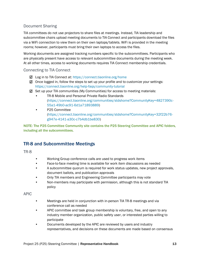#### <span id="page-15-0"></span>Document Sharing

TIA committees do not use projectors to share files at meetings. Instead, TIA leadership and subcommittee chairs upload meeting documents to TIA Connect and participants download the files via a WiFi connection to view them on their own laptops/tablets. WiFi is provided in the meeting rooms; however, participants must bring their own laptops to access the files.

Working documents are assigned tracking numbers specific to the subcommittees. Participants who are physically present have access to relevant subcommittee documents during the meeting week. At all other times, access to working documents requires TIA Connect membership credentials.

#### <span id="page-15-1"></span>Connecting to TIA Connect

- Log in to TIA Connect at:<https://connect.tiaonline.org/home>
- $\boxtimes$  Once logged in, follow the steps to set up your profile and to customize your settings: <https://connect.tiaonline.org/help-faqs/community-tutorial>
- $\boxtimes$  Set up your TIA communities (My Communities) for access to meeting materials:
	- TR-8 Mobile and Personal Private Radio Standards [\(https://connect.tiaonline.org/communities/stdshome?CommunityKey=4827390c-](https://connect.tiaonline.org/communities/stdshome?CommunityKey=4827390c-55a1-49b0-ac91-6d1a71893889)[55a1-49b0-ac91-6d1a71893889\)](https://connect.tiaonline.org/communities/stdshome?CommunityKey=4827390c-55a1-49b0-ac91-6d1a71893889)
	- P25 Committee [\(https://connect.tiaonline.org/communities/stdshome?CommunityKey=32f22b76](https://connect.tiaonline.org/communities/stdshome?CommunityKey=32f22b76-g947e-4141-a30c-c7b4db1be830) [g947e-4141-a30c-c7b4db1be830\)](https://connect.tiaonline.org/communities/stdshome?CommunityKey=32f22b76-g947e-4141-a30c-c7b4db1be830)

NOTE: The P25 Committee Community site contains the P25 Steering Committee and APIC folders, including all the subcommittees.

### <span id="page-15-2"></span>TR-8 and Subcommittee Meetings

<span id="page-15-3"></span>TR-8

- Working Group conference calls are used to progress work items
- Face-to-face meeting time is available for work item discussions as needed
- A subcommittee quorum is required for work status updates, new project approvals, document ballots, and publication approvals
- Only TIA members and Engineering Committee participants may vote
- Non-members may participate with permission, although this is not standard TIA policy

<span id="page-15-4"></span>APIC

- Meetings are held in conjunction with in-person TIA TR-8 meetings and via conference call as needed
- APIC committee and task group membership is voluntary, free, and open to any industry member organization, public safety user, or interested parties willing to participate
- Documents developed by the APIC are reviewed by users and industry representatives, and decisions on these documents are made based on consensus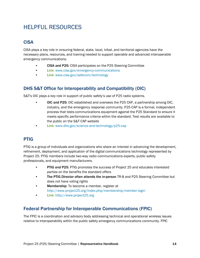# <span id="page-16-0"></span>HELPFUL RESOURCES

### <span id="page-16-1"></span>**CISA**

CISA plays a key role in ensuring federal, state, local, tribal, and territorial agencies have the necessary plans, resources, and training needed to support operable and advanced interoperable emergency communications.

- CISA and P25: CISA participates on the P25 Steering Committee
- Link: [www.cisa.gov/emergency-communications](http://www.cisa.gov/emergency-communications)
- Link: [www.cisa.gov/safecom/technology](http://www.cisa.gov/safecom/technology)

### <span id="page-16-2"></span>DHS S&T Office for Interoperability and Compatibility (OIC)

S&T's OIC plays a key role in support of public safety's use of P25 radio systems.

- OIC and P25: OIC established and oversees the P25 CAP, a partnership among OIC, industry, and the emergency response community. P25 CAP is a formal, independent process that tests communications equipment against the P25 Standard to ensure it meets specific performance criteria within the standard. Test results are available to the public on the S&T CAP website
- Link: [www.dhs.gov/science-and-technology/p25-cap](http://www.dhs.gov/science-and-technology/p25-cap)

### <span id="page-16-3"></span>PTIG

PTIG is a group of individuals and organizations who share an interest in advancing the development, refinement, deployment, and application of the digital communications technology represented by Project 25. PTIG members include two-way radio communications experts, public safety professionals, and equipment manufacturers.

- PTIG and P25: PTIG promotes the success of Project 25 and educates interested parties on the benefits the standard offers
- The PTIG Director often attends the in-person TR-8 and P25 Steering Committee but does not have voting rights
- Membership: To become a member, register at <http://www.project25.org/index.php/membership/member-login>
- Link: [http://www.project25.org](http://www.project25.org/)

### <span id="page-16-4"></span>Federal Partnership for Interoperable Communications (FPIC)

The FPIC is a coordination and advisory body addressing technical and operational wireless issues relative to interoperability within the public safety emergency communications community. FPIC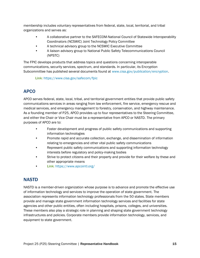membership includes voluntary representatives from federal, state, local, territorial, and tribal organizations and serves as:

- A collaborative partner to the SAFECOM-National Council of Statewide Interoperability Coordinators (NCSWIC) Joint Technology Policy Committee
- A technical advisory group to the NCSWIC Executive Committee
- A liaison advisory group to National Public Safety Telecommunications Council (NPSTC)

The FPIC develops products that address topics and questions concerning interoperable communications, security services, spectrum, and standards. In particular, its Encryption Subcommittee has published several documents found at [www.cisa.gov/publication/encryption.](http://www.cisa.gov/publication/encryption)

Link: <https://www.cisa.gov/safecom/fpic>

### <span id="page-17-0"></span>APCO

APCO serves federal, state, local, tribal, and territorial government entities that provide public safety communications services in areas ranging from law enforcement, fire service, emergency rescue and medical services, and emergency management to forestry, conservation, and highway maintenance. As a founding member of P25, APCO provides up to four representatives to the Steering Committee, and either the Chair or Vice Chair must be a representative from APCO or NASTD. The primary purposes of APCO are to:

- Foster development and progress of public safety communications and supporting information technologies
- Promote rapid and accurate collection, exchange, and dissemination of information relating to emergencies and other vital public safety communications
- Represent public safety communications and supporting information technology interests before regulatory and policy-making bodies
- Strive to protect citizens and their property and provide for their welfare by these and other appropriate means
- Link: <https://www.apcointl.org/>

### <span id="page-17-1"></span>**NASTD**

NASTD is a member-driven organization whose purpose is to advance and promote the effective use of information technology and services to improve the operation of state government. The association represents information technology professionals from the 50 states. State members provide and manage state government information technology services and facilities for state agencies and other public entities, often including hospitals, prisons, colleges, and universities. These members also play a strategic role in planning and shaping state government technology infrastructures and policies. Corporate members provide information technology, services, and equipment to state government.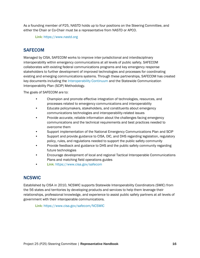As a founding member of P25, NASTD holds up to four positions on the Steering Committee, and either the Chair or Co-Chair must be a representative from NASTD or APCO.

Link: [https://www.nastd.org](https://www.nastd.org/)

#### <span id="page-18-0"></span>**SAFECOM**

Managed by CISA, SAFECOM works to improve inter-jurisdictional and interdisciplinary interoperability within emergency communications at all levels of public safety. SAFECOM collaborates with existing federal communications programs and key emergency response stakeholders to further development of improved technologies and processes for coordinating existing and emerging communications systems. Through these partnerships, SAFECOM has created key documents including the [Interoperability Continuum](https://www.cisa.gov/publication/interoperability) and the Statewide Communication Interoperability Plan (SCIP) Methodology.

The goals of SAFECOM are to:

- Champion and promote effective integration of technologies, resources, and processes related to emergency communications and interoperability
- Educate policymakers, stakeholders, and constituents about emergency communications technologies and interoperability-related issues
- Provide accurate, reliable information about the challenges facing emergency communications and the technical requirements and best practices needed to overcome them
- Support implementation of the National Emergency Communications Plan and SCIP
- Support and provide guidance to CISA, OIC, and DHS regarding legislation, regulatory policy, rules, and regulations needed to support the public safety community
- Provide feedback and guidance to DHS and the public safety community regarding future technologies
- Encourage development of local and regional Tactical Interoperable Communications Plans and matching field operations guides
- Link: <https://www.cisa.gov/safecom>

### <span id="page-18-1"></span>**NCSWIC**

Established by CISA in 2010, NCSWIC supports Statewide Interoperability Coordinators (SWIC) from the 56 states and territories by developing products and services to help them leverage their relationships, professional knowledge, and experience to assist public safety partners at all levels of government with their interoperable communications.

Link: <https://www.cisa.gov/safecom/NCSWIC>